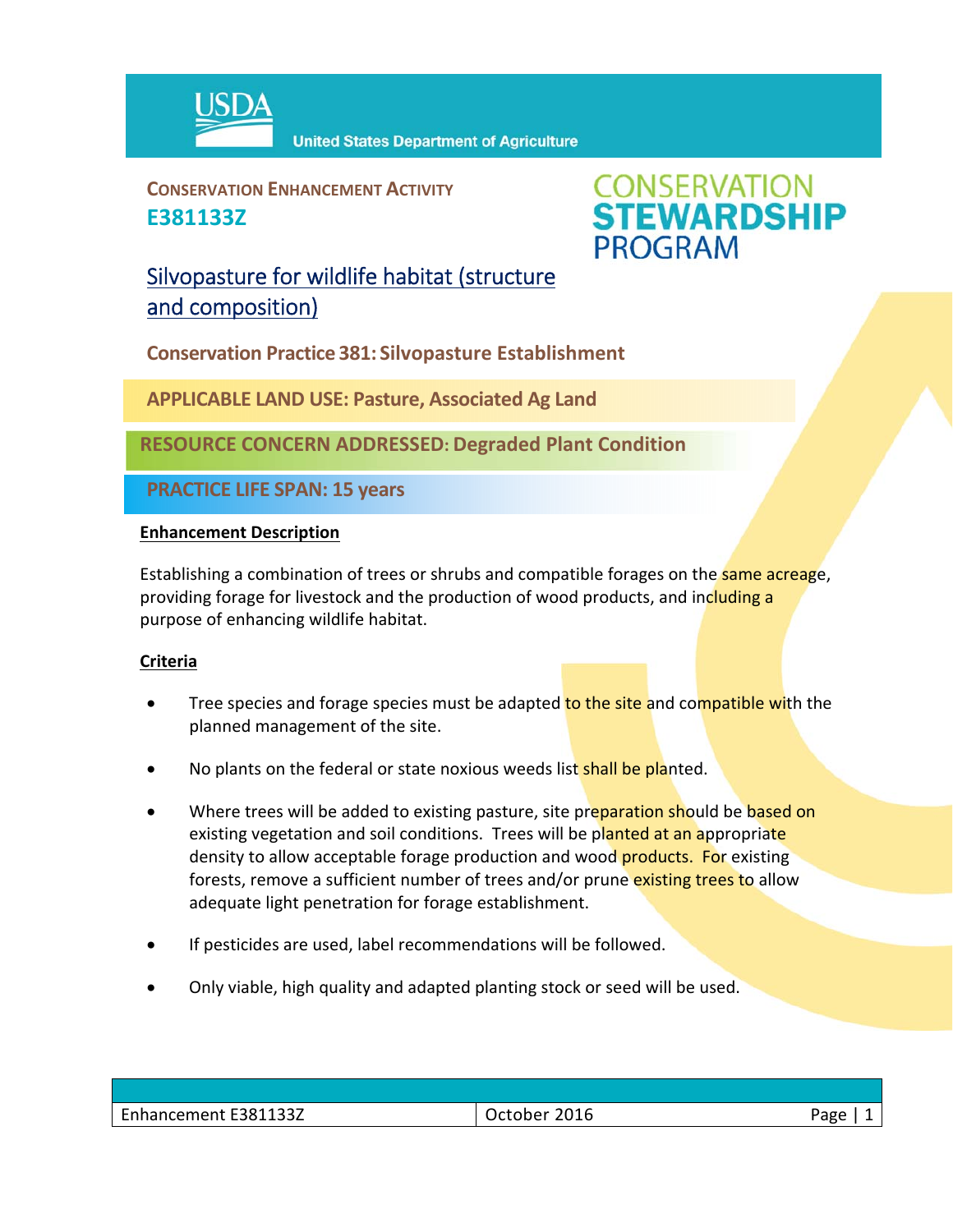

**CONSERVATION ENHANCEMENT ACTIVITY E381133Z**



## Silvopasture for wildlife habitat (structure and composition)

**Conservation Practice 381: Silvopasture Establishment**

**APPLICABLE LAND USE: Pasture, Associated Ag Land**

**RESOURCE CONCERN ADDRESSED: Degraded Plant Condition**

**PRACTICE LIFE SPAN: 15 years**

## **Enhancement Description**

Establishing a combination of trees or shrubs and compatible forages on the same acreage, providing forage for livestock and the production of wood products, and including a purpose of enhancing wildlife habitat.

## **Criteria**

- Tree species and forage species must be adapted to the site and compatible with the planned management of the site.
- No plants on the federal or state noxious weeds list shall be planted.
- Where trees will be added to existing pasture, site preparation should be based on existing vegetation and soil conditions. Trees will be planted at an appropriate density to allow acceptable forage production and wood **products. For** existing forests, remove a sufficient number of trees and/or prune existing trees to allow adequate light penetration for forage establishment.
- If pesticides are used, label recommendations will be followed.
- Only viable, high quality and adapted planting stock or seed will be used.

| $\overline{\phantom{0}}$<br>E381133Z<br>Enhancement<br>____ | 2016<br>⊥uuner <sup>ynn</sup><br>___ | 'age |
|-------------------------------------------------------------|--------------------------------------|------|